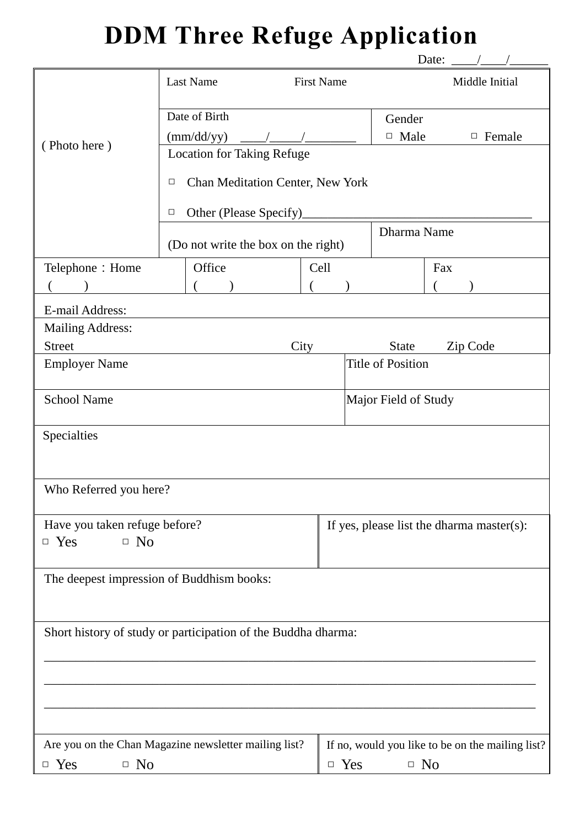## **DDM Three Refuge Application**

| Last Name<br>Middle Initial<br><b>First Name</b><br>Date of Birth<br>Gender<br>$\Box$ Male<br>$\text{(mm/dd/yy)}$<br>$\Box$ Female<br>(Photo here)<br><b>Location for Taking Refuge</b> |                                               |  |  |  |  |  |  |  |  |  |
|-----------------------------------------------------------------------------------------------------------------------------------------------------------------------------------------|-----------------------------------------------|--|--|--|--|--|--|--|--|--|
|                                                                                                                                                                                         |                                               |  |  |  |  |  |  |  |  |  |
|                                                                                                                                                                                         |                                               |  |  |  |  |  |  |  |  |  |
|                                                                                                                                                                                         |                                               |  |  |  |  |  |  |  |  |  |
|                                                                                                                                                                                         |                                               |  |  |  |  |  |  |  |  |  |
| Chan Meditation Center, New York<br>$\Box$                                                                                                                                              |                                               |  |  |  |  |  |  |  |  |  |
| Other (Please Specify)<br>$\Box$                                                                                                                                                        |                                               |  |  |  |  |  |  |  |  |  |
|                                                                                                                                                                                         | Dharma Name                                   |  |  |  |  |  |  |  |  |  |
| (Do not write the box on the right)                                                                                                                                                     |                                               |  |  |  |  |  |  |  |  |  |
| Telephone: Home<br>Office<br>Cell<br>Fax                                                                                                                                                |                                               |  |  |  |  |  |  |  |  |  |
|                                                                                                                                                                                         |                                               |  |  |  |  |  |  |  |  |  |
| E-mail Address:                                                                                                                                                                         |                                               |  |  |  |  |  |  |  |  |  |
| <b>Mailing Address:</b>                                                                                                                                                                 |                                               |  |  |  |  |  |  |  |  |  |
| <b>Street</b><br>City<br><b>State</b><br>Zip Code                                                                                                                                       |                                               |  |  |  |  |  |  |  |  |  |
| <b>Title of Position</b><br><b>Employer Name</b>                                                                                                                                        |                                               |  |  |  |  |  |  |  |  |  |
| <b>School Name</b><br>Major Field of Study                                                                                                                                              |                                               |  |  |  |  |  |  |  |  |  |
| Specialties                                                                                                                                                                             |                                               |  |  |  |  |  |  |  |  |  |
|                                                                                                                                                                                         |                                               |  |  |  |  |  |  |  |  |  |
|                                                                                                                                                                                         |                                               |  |  |  |  |  |  |  |  |  |
| Who Referred you here?                                                                                                                                                                  |                                               |  |  |  |  |  |  |  |  |  |
| Have you taken refuge before?                                                                                                                                                           | If yes, please list the dharma master $(s)$ : |  |  |  |  |  |  |  |  |  |
| $\Box$ Yes<br>$\Box$ No                                                                                                                                                                 |                                               |  |  |  |  |  |  |  |  |  |
| The deepest impression of Buddhism books:                                                                                                                                               |                                               |  |  |  |  |  |  |  |  |  |
|                                                                                                                                                                                         |                                               |  |  |  |  |  |  |  |  |  |
| Short history of study or participation of the Buddha dharma:                                                                                                                           |                                               |  |  |  |  |  |  |  |  |  |
|                                                                                                                                                                                         |                                               |  |  |  |  |  |  |  |  |  |
|                                                                                                                                                                                         |                                               |  |  |  |  |  |  |  |  |  |
|                                                                                                                                                                                         |                                               |  |  |  |  |  |  |  |  |  |
|                                                                                                                                                                                         |                                               |  |  |  |  |  |  |  |  |  |
|                                                                                                                                                                                         |                                               |  |  |  |  |  |  |  |  |  |
| Are you on the Chan Magazine newsletter mailing list?<br>If no, would you like to be on the mailing list?                                                                               |                                               |  |  |  |  |  |  |  |  |  |
| $\Box$ Yes<br>$\Box$ No<br>$\Box$ No<br>$\Box$ Yes                                                                                                                                      |                                               |  |  |  |  |  |  |  |  |  |